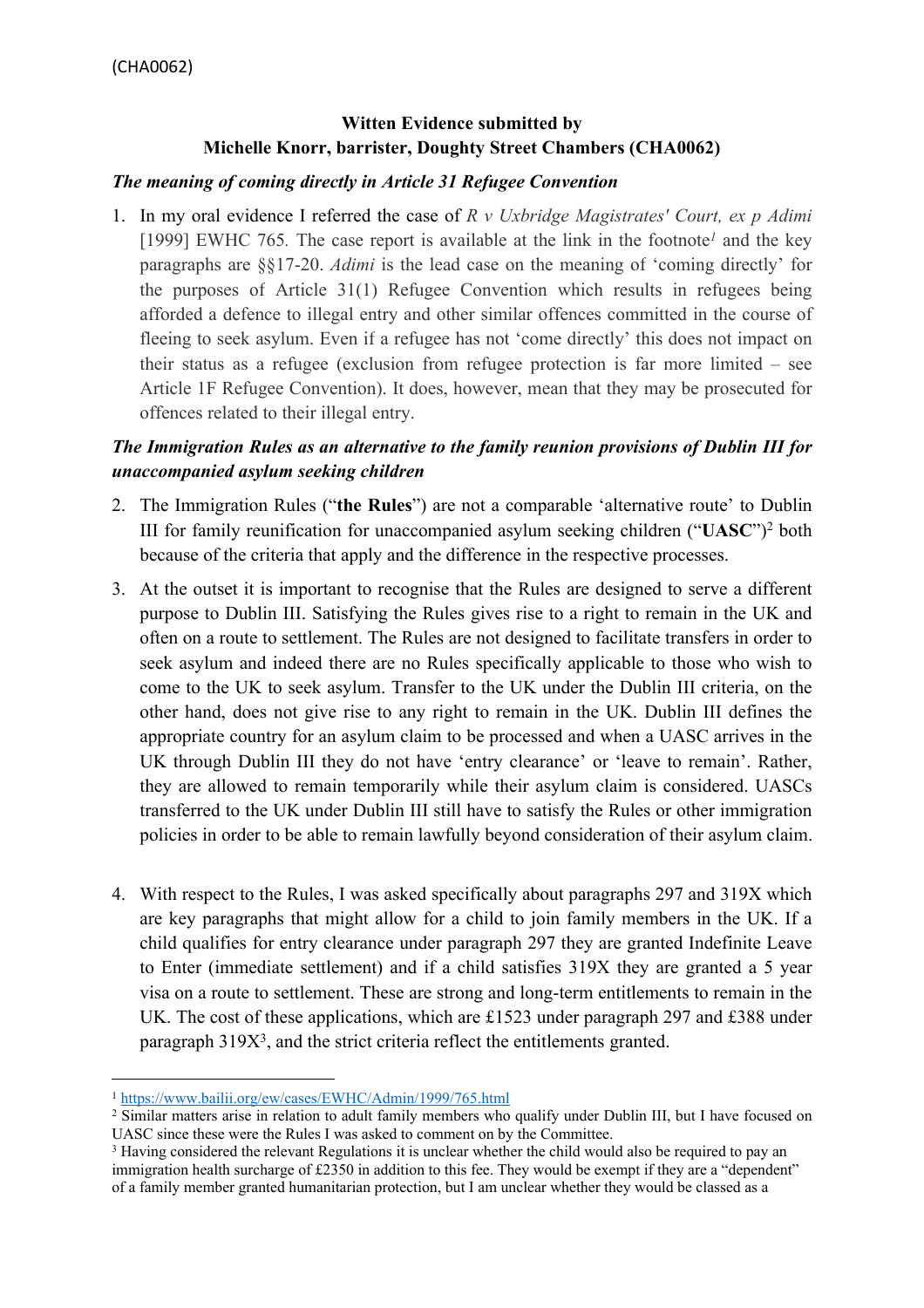# **Witten Evidence submitted by Michelle Knorr, barrister, Doughty Street Chambers (CHA0062)**

#### *The meaning of coming directly in Article 31 Refugee Convention*

1. In my oral evidence I referred the case of *R v Uxbridge Magistrates' Court, ex p Adimi* [1999] EWHC 765*.* The case report is available at the link in the footnote*<sup>1</sup>* and the key paragraphs are §§17-20. *Adimi* is the lead case on the meaning of 'coming directly' for the purposes of Article 31(1) Refugee Convention which results in refugees being afforded a defence to illegal entry and other similar offences committed in the course of fleeing to seek asylum. Even if a refugee has not 'come directly' this does not impact on their status as a refugee (exclusion from refugee protection is far more limited – see Article 1F Refugee Convention). It does, however, mean that they may be prosecuted for offences related to their illegal entry.

## *The Immigration Rules as an alternative to the family reunion provisions of Dublin III for unaccompanied asylum seeking children*

- 2. The Immigration Rules ("**the Rules**") are not a comparable 'alternative route' to Dublin III for family reunification for unaccompanied asylum seeking children ("**UASC**")<sup>2</sup> both because of the criteria that apply and the difference in the respective processes.
- 3. At the outset it is important to recognise that the Rules are designed to serve a different purpose to Dublin III. Satisfying the Rules gives rise to a right to remain in the UK and often on a route to settlement. The Rules are not designed to facilitate transfers in order to seek asylum and indeed there are no Rules specifically applicable to those who wish to come to the UK to seek asylum. Transfer to the UK under the Dublin III criteria, on the other hand, does not give rise to any right to remain in the UK. Dublin III defines the appropriate country for an asylum claim to be processed and when a UASC arrives in the UK through Dublin III they do not have 'entry clearance' or 'leave to remain'. Rather, they are allowed to remain temporarily while their asylum claim is considered. UASCs transferred to the UK under Dublin III still have to satisfy the Rules or other immigration policies in order to be able to remain lawfully beyond consideration of their asylum claim.
- 4. With respect to the Rules, I was asked specifically about paragraphs 297 and 319X which are key paragraphs that might allow for a child to join family members in the UK. If a child qualifies for entry clearance under paragraph 297 they are granted Indefinite Leave to Enter (immediate settlement) and if a child satisfies 319X they are granted a 5 year visa on a route to settlement. These are strong and long-term entitlements to remain in the UK. The cost of these applications, which are £1523 under paragraph 297 and £388 under paragraph 319X<sup>3</sup>, and the strict criteria reflect the entitlements granted.

<sup>1</sup> <https://www.bailii.org/ew/cases/EWHC/Admin/1999/765.html>

<sup>2</sup> Similar matters arise in relation to adult family members who qualify under Dublin III, but I have focused on UASC since these were the Rules I was asked to comment on by the Committee.

<sup>3</sup> Having considered the relevant Regulations it is unclear whether the child would also be required to pay an immigration health surcharge of £2350 in addition to this fee. They would be exempt if they are a "dependent" of a family member granted humanitarian protection, but I am unclear whether they would be classed as a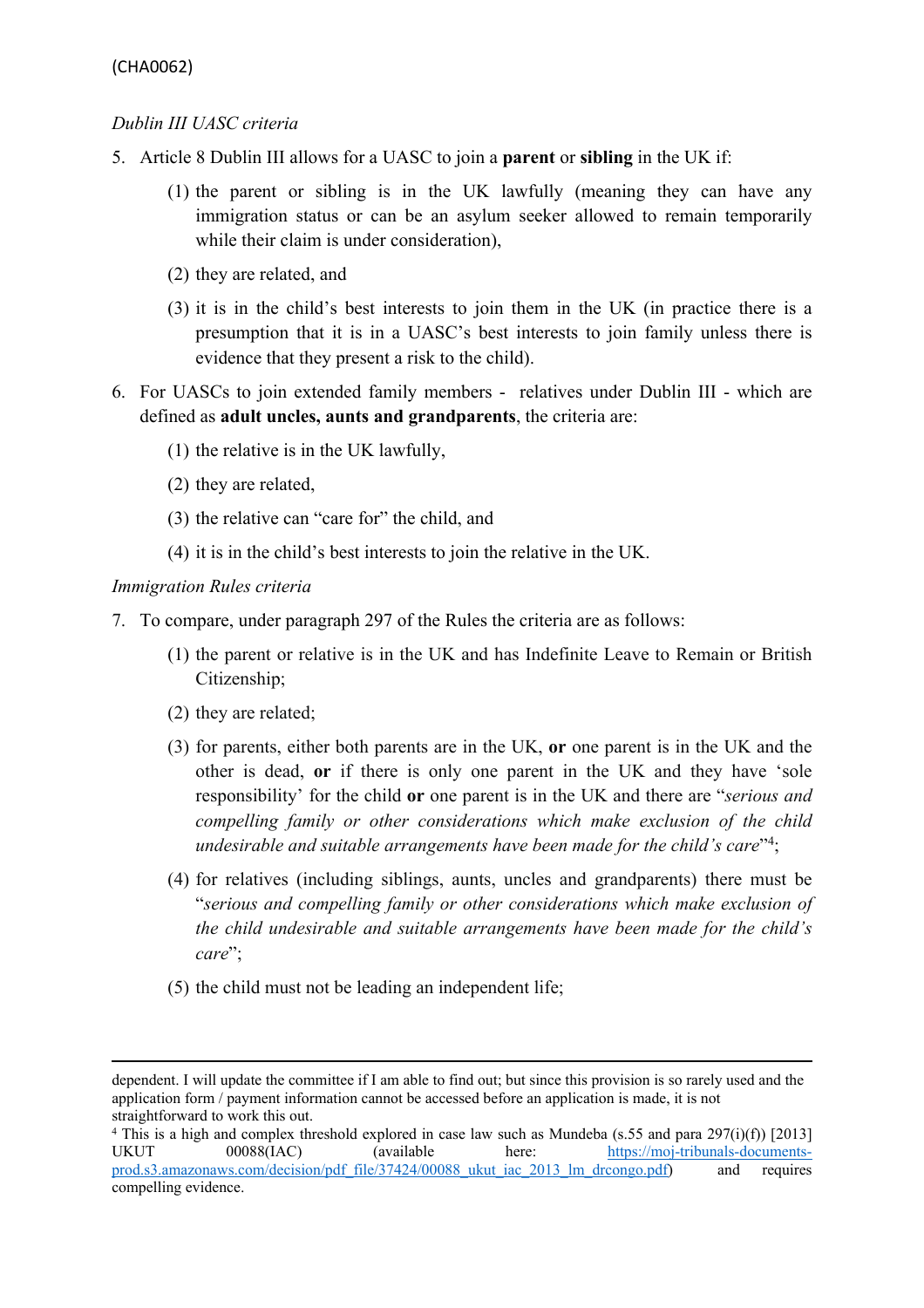## *Dublin III UASC criteria*

- 5. Article 8 Dublin III allows for a UASC to join a **parent** or **sibling** in the UK if:
	- (1) the parent or sibling is in the UK lawfully (meaning they can have any immigration status or can be an asylum seeker allowed to remain temporarily while their claim is under consideration),
	- (2) they are related, and
	- (3) it is in the child's best interests to join them in the UK (in practice there is a presumption that it is in a UASC's best interests to join family unless there is evidence that they present a risk to the child).
- 6. For UASCs to join extended family members relatives under Dublin III which are defined as **adult uncles, aunts and grandparents**, the criteria are:
	- (1) the relative is in the UK lawfully,
	- (2) they are related,
	- (3) the relative can "care for" the child, and
	- (4) it is in the child's best interests to join the relative in the UK.

### *Immigration Rules criteria*

- 7. To compare, under paragraph 297 of the Rules the criteria are as follows:
	- (1) the parent or relative is in the UK and has Indefinite Leave to Remain or British Citizenship;
	- (2) they are related;
	- (3) for parents, either both parents are in the UK, **or** one parent is in the UK and the other is dead, **or** if there is only one parent in the UK and they have 'sole responsibility' for the child **or** one parent is in the UK and there are "*serious and compelling family or other considerations which make exclusion of the child undesirable and suitable arrangements have been made for the child's care*" 4 ;
	- (4) for relatives (including siblings, aunts, uncles and grandparents) there must be "*serious and compelling family or other considerations which make exclusion of the child undesirable and suitable arrangements have been made for the child's care*";
	- (5) the child must not be leading an independent life;

dependent. I will update the committee if I am able to find out; but since this provision is so rarely used and the application form / payment information cannot be accessed before an application is made, it is not straightforward to work this out.

<sup>4</sup> This is a high and complex threshold explored in case law such as Mundeba (s.55 and para 297(i)(f)) [2013] UKUT 00088(IAC) (available here: [https://moj-tribunals-documents](https://moj-tribunals-documents-prod.s3.amazonaws.com/decision/pdf_file/37424/00088_ukut_iac_2013_lm_drcongo.pdf)[prod.s3.amazonaws.com/decision/pdf\\_file/37424/00088\\_ukut\\_iac\\_2013\\_lm\\_drcongo.pdf](https://moj-tribunals-documents-prod.s3.amazonaws.com/decision/pdf_file/37424/00088_ukut_iac_2013_lm_drcongo.pdf)) and requires compelling evidence.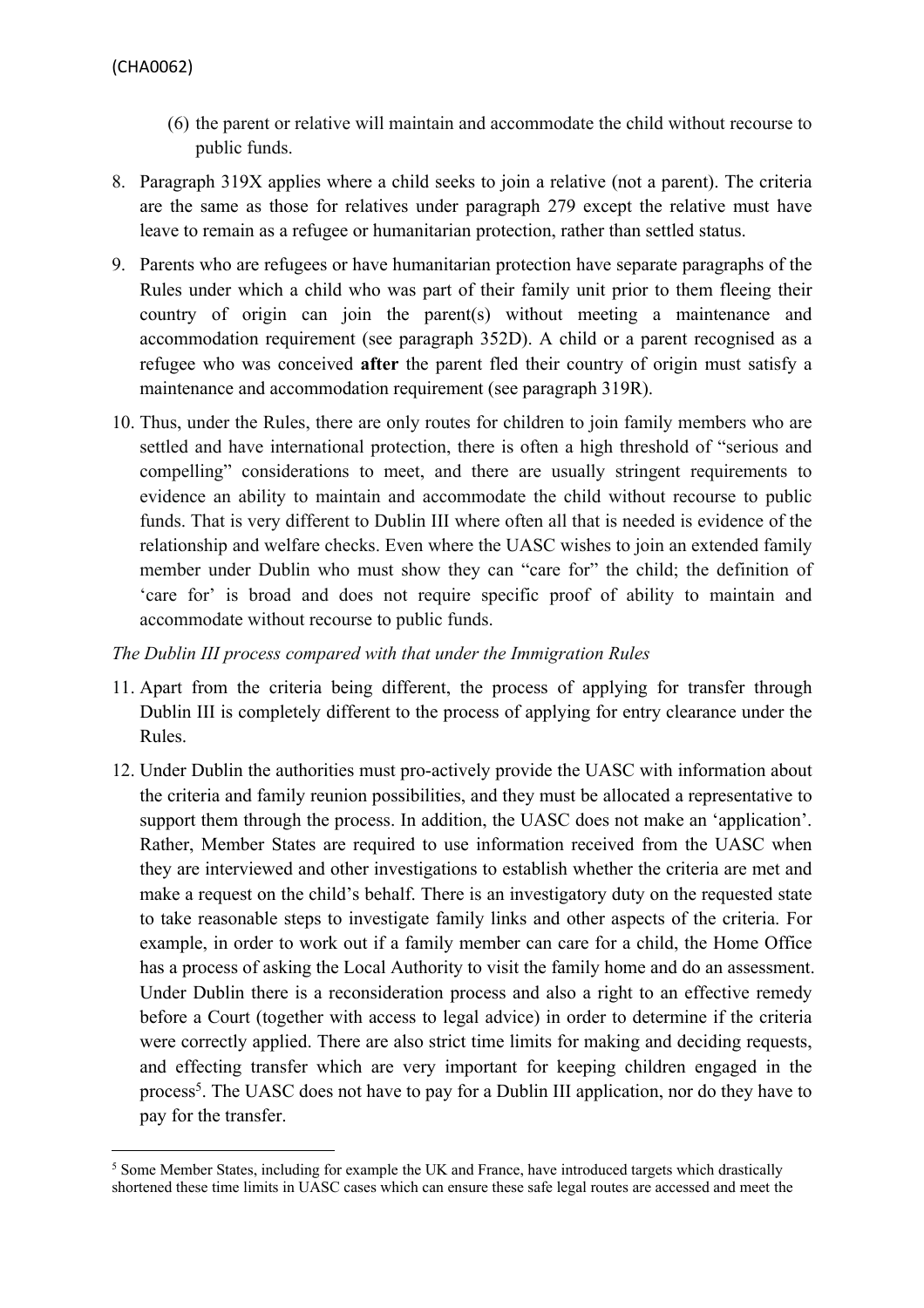- (6) the parent or relative will maintain and accommodate the child without recourse to public funds.
- 8. Paragraph 319X applies where a child seeks to join a relative (not a parent). The criteria are the same as those for relatives under paragraph 279 except the relative must have leave to remain as a refugee or humanitarian protection, rather than settled status.
- 9. Parents who are refugees or have humanitarian protection have separate paragraphs of the Rules under which a child who was part of their family unit prior to them fleeing their country of origin can join the parent(s) without meeting a maintenance and accommodation requirement (see paragraph 352D). A child or a parent recognised as a refugee who was conceived **after** the parent fled their country of origin must satisfy a maintenance and accommodation requirement (see paragraph 319R).
- 10. Thus, under the Rules, there are only routes for children to join family members who are settled and have international protection, there is often a high threshold of "serious and compelling" considerations to meet, and there are usually stringent requirements to evidence an ability to maintain and accommodate the child without recourse to public funds. That is very different to Dublin III where often all that is needed is evidence of the relationship and welfare checks. Even where the UASC wishes to join an extended family member under Dublin who must show they can "care for" the child; the definition of 'care for' is broad and does not require specific proof of ability to maintain and accommodate without recourse to public funds.

*The Dublin III process compared with that under the Immigration Rules*

- 11. Apart from the criteria being different, the process of applying for transfer through Dublin III is completely different to the process of applying for entry clearance under the Rules.
- 12. Under Dublin the authorities must pro-actively provide the UASC with information about the criteria and family reunion possibilities, and they must be allocated a representative to support them through the process. In addition, the UASC does not make an 'application'. Rather, Member States are required to use information received from the UASC when they are interviewed and other investigations to establish whether the criteria are met and make a request on the child's behalf. There is an investigatory duty on the requested state to take reasonable steps to investigate family links and other aspects of the criteria. For example, in order to work out if a family member can care for a child, the Home Office has a process of asking the Local Authority to visit the family home and do an assessment. Under Dublin there is a reconsideration process and also a right to an effective remedy before a Court (together with access to legal advice) in order to determine if the criteria were correctly applied. There are also strict time limits for making and deciding requests, and effecting transfer which are very important for keeping children engaged in the process<sup>5</sup>. The UASC does not have to pay for a Dublin III application, nor do they have to pay for the transfer.

<sup>5</sup> Some Member States, including for example the UK and France, have introduced targets which drastically shortened these time limits in UASC cases which can ensure these safe legal routes are accessed and meet the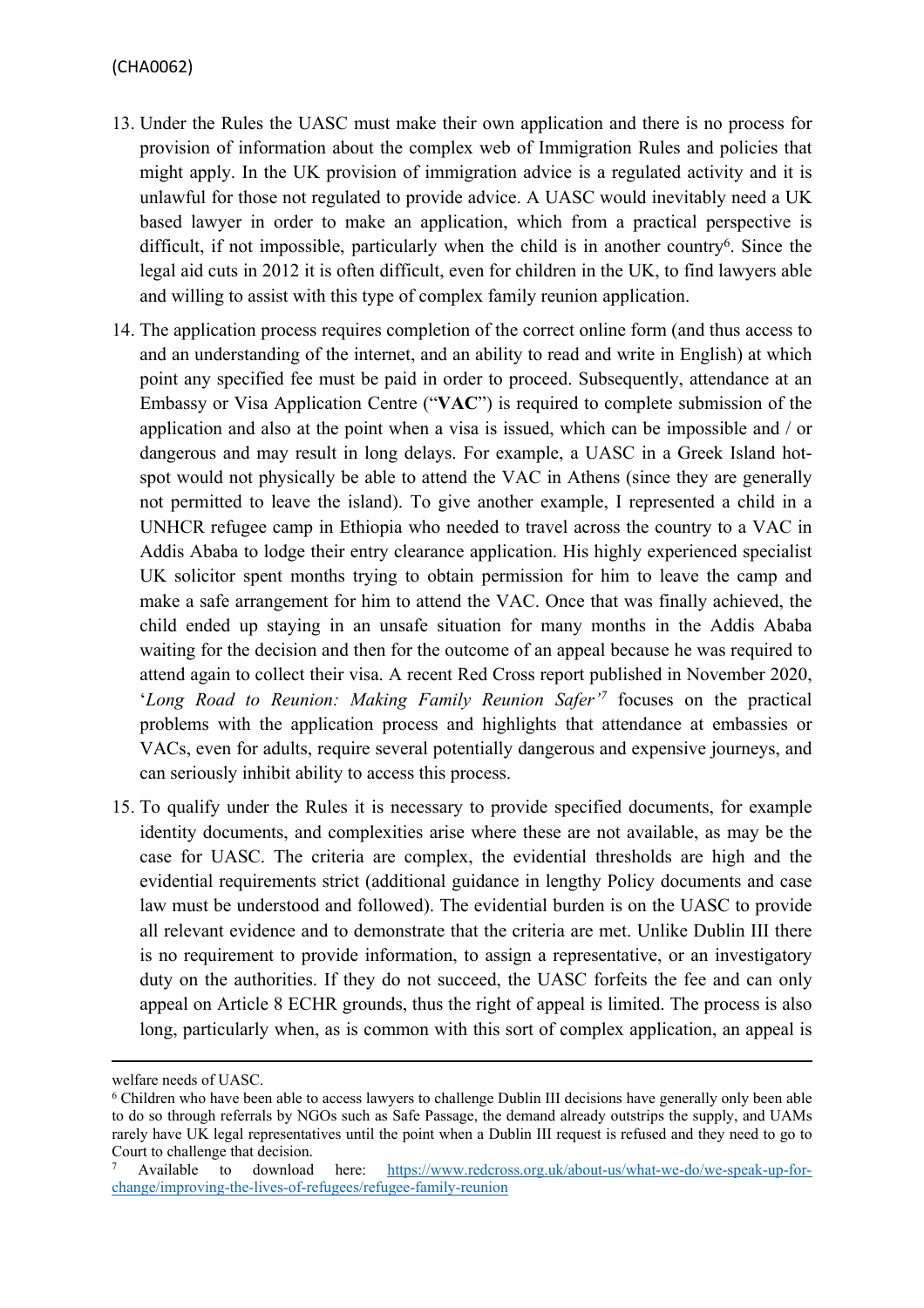#### (CHA0062)

- 13. Under the Rules the UASC must make their own application and there is no process for provision of information about the complex web of Immigration Rules and policies that might apply. In the UK provision of immigration advice is a regulated activity and it is unlawful for those not regulated to provide advice. A UASC would inevitably need a UK based lawyer in order to make an application, which from a practical perspective is difficult, if not impossible, particularly when the child is in another country<sup>6</sup>. Since the legal aid cuts in 2012 it is often difficult, even for children in the UK, to find lawyers able and willing to assist with this type of complex family reunion application.
- 14. The application process requires completion of the correct online form (and thus access to and an understanding of the internet, and an ability to read and write in English) at which point any specified fee must be paid in order to proceed. Subsequently, attendance at an Embassy or Visa Application Centre ("**VAC**") is required to complete submission of the application and also at the point when a visa is issued, which can be impossible and / or dangerous and may result in long delays. For example, a UASC in a Greek Island hotspot would not physically be able to attend the VAC in Athens (since they are generally not permitted to leave the island). To give another example, I represented a child in a UNHCR refugee camp in Ethiopia who needed to travel across the country to a VAC in Addis Ababa to lodge their entry clearance application. His highly experienced specialist UK solicitor spent months trying to obtain permission for him to leave the camp and make a safe arrangement for him to attend the VAC. Once that was finally achieved, the child ended up staying in an unsafe situation for many months in the Addis Ababa waiting for the decision and then for the outcome of an appeal because he was required to attend again to collect their visa. A recent Red Cross report published in November 2020, '*Long Road to Reunion: Making Family Reunion Safer'<sup>7</sup>* focuses on the practical problems with the application process and highlights that attendance at embassies or VACs, even for adults, require several potentially dangerous and expensive journeys, and can seriously inhibit ability to access this process.
- 15. To qualify under the Rules it is necessary to provide specified documents, for example identity documents, and complexities arise where these are not available, as may be the case for UASC. The criteria are complex, the evidential thresholds are high and the evidential requirements strict (additional guidance in lengthy Policy documents and case law must be understood and followed). The evidential burden is on the UASC to provide all relevant evidence and to demonstrate that the criteria are met. Unlike Dublin III there is no requirement to provide information, to assign a representative, or an investigatory duty on the authorities. If they do not succeed, the UASC forfeits the fee and can only appeal on Article 8 ECHR grounds, thus the right of appeal is limited. The process is also long, particularly when, as is common with this sort of complex application, an appeal is

welfare needs of UASC.

<sup>6</sup> Children who have been able to access lawyers to challenge Dublin III decisions have generally only been able to do so through referrals by NGOs such as Safe Passage, the demand already outstrips the supply, and UAMs rarely have UK legal representatives until the point when a Dublin III request is refused and they need to go to Court to challenge that decision.

<sup>7</sup> Available to download here: [https://www.redcross.org.uk/about-us/what-we-do/we-speak-up-for](https://www.redcross.org.uk/about-us/what-we-do/we-speak-up-for-change/improving-the-lives-of-refugees/refugee-family-reunion)[change/improving-the-lives-of-refugees/refugee-family-reunion](https://www.redcross.org.uk/about-us/what-we-do/we-speak-up-for-change/improving-the-lives-of-refugees/refugee-family-reunion)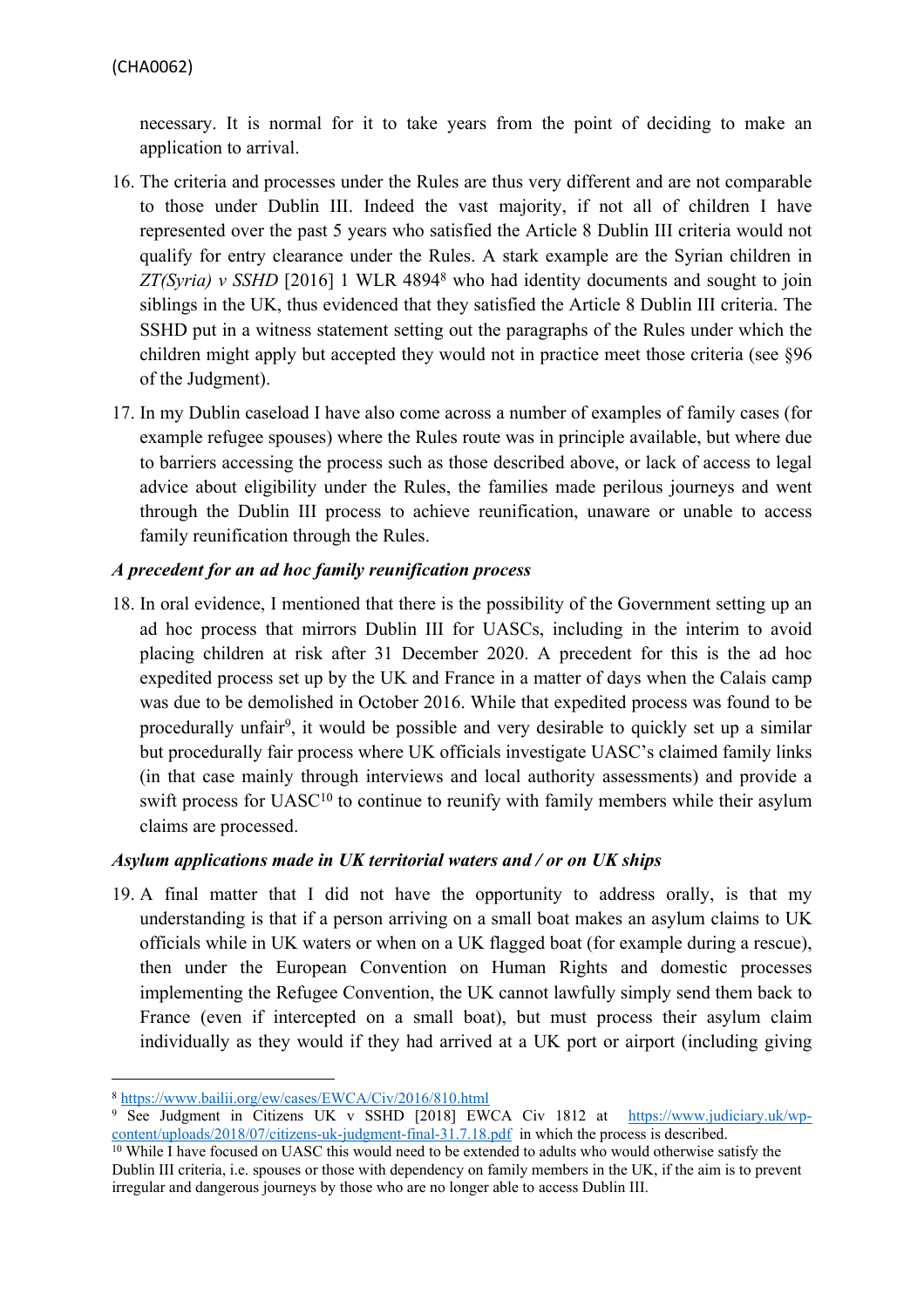necessary. It is normal for it to take years from the point of deciding to make an application to arrival.

- 16. The criteria and processes under the Rules are thus very different and are not comparable to those under Dublin III. Indeed the vast majority, if not all of children I have represented over the past 5 years who satisfied the Article 8 Dublin III criteria would not qualify for entry clearance under the Rules. A stark example are the Syrian children in *ZT(Syria) v SSHD* [2016] 1 WLR 4894<sup>8</sup> who had identity documents and sought to join siblings in the UK, thus evidenced that they satisfied the Article 8 Dublin III criteria. The SSHD put in a witness statement setting out the paragraphs of the Rules under which the children might apply but accepted they would not in practice meet those criteria (see §96 of the Judgment).
- 17. In my Dublin caseload I have also come across a number of examples of family cases (for example refugee spouses) where the Rules route was in principle available, but where due to barriers accessing the process such as those described above, or lack of access to legal advice about eligibility under the Rules, the families made perilous journeys and went through the Dublin III process to achieve reunification, unaware or unable to access family reunification through the Rules.

## *A precedent for an ad hoc family reunification process*

18. In oral evidence, I mentioned that there is the possibility of the Government setting up an ad hoc process that mirrors Dublin III for UASCs, including in the interim to avoid placing children at risk after 31 December 2020. A precedent for this is the ad hoc expedited process set up by the UK and France in a matter of days when the Calais camp was due to be demolished in October 2016. While that expedited process was found to be procedurally unfair<sup>9</sup>, it would be possible and very desirable to quickly set up a similar but procedurally fair process where UK officials investigate UASC's claimed family links (in that case mainly through interviews and local authority assessments) and provide a swift process for UASC<sup>10</sup> to continue to reunify with family members while their asylum claims are processed.

#### *Asylum applications made in UK territorial waters and / or on UK ships*

19. A final matter that I did not have the opportunity to address orally, is that my understanding is that if a person arriving on a small boat makes an asylum claims to UK officials while in UK waters or when on a UK flagged boat (for example during a rescue), then under the European Convention on Human Rights and domestic processes implementing the Refugee Convention, the UK cannot lawfully simply send them back to France (even if intercepted on a small boat), but must process their asylum claim individually as they would if they had arrived at a UK port or airport (including giving

<sup>8</sup> <https://www.bailii.org/ew/cases/EWCA/Civ/2016/810.html>

<sup>9</sup> See Judgment in Citizens UK v SSHD [2018] EWCA Civ 1812 at [https://www.judiciary.uk/wp](https://www.judiciary.uk/wp-content/uploads/2018/07/citizens-uk-judgment-final-31.7.18.pdf)[content/uploads/2018/07/citizens-uk-judgment-final-31.7.18.pdf](https://www.judiciary.uk/wp-content/uploads/2018/07/citizens-uk-judgment-final-31.7.18.pdf) in which the process is described.

<sup>&</sup>lt;sup>10</sup> While I have focused on UASC this would need to be extended to adults who would otherwise satisfy the Dublin III criteria, i.e. spouses or those with dependency on family members in the UK, if the aim is to prevent irregular and dangerous journeys by those who are no longer able to access Dublin III.